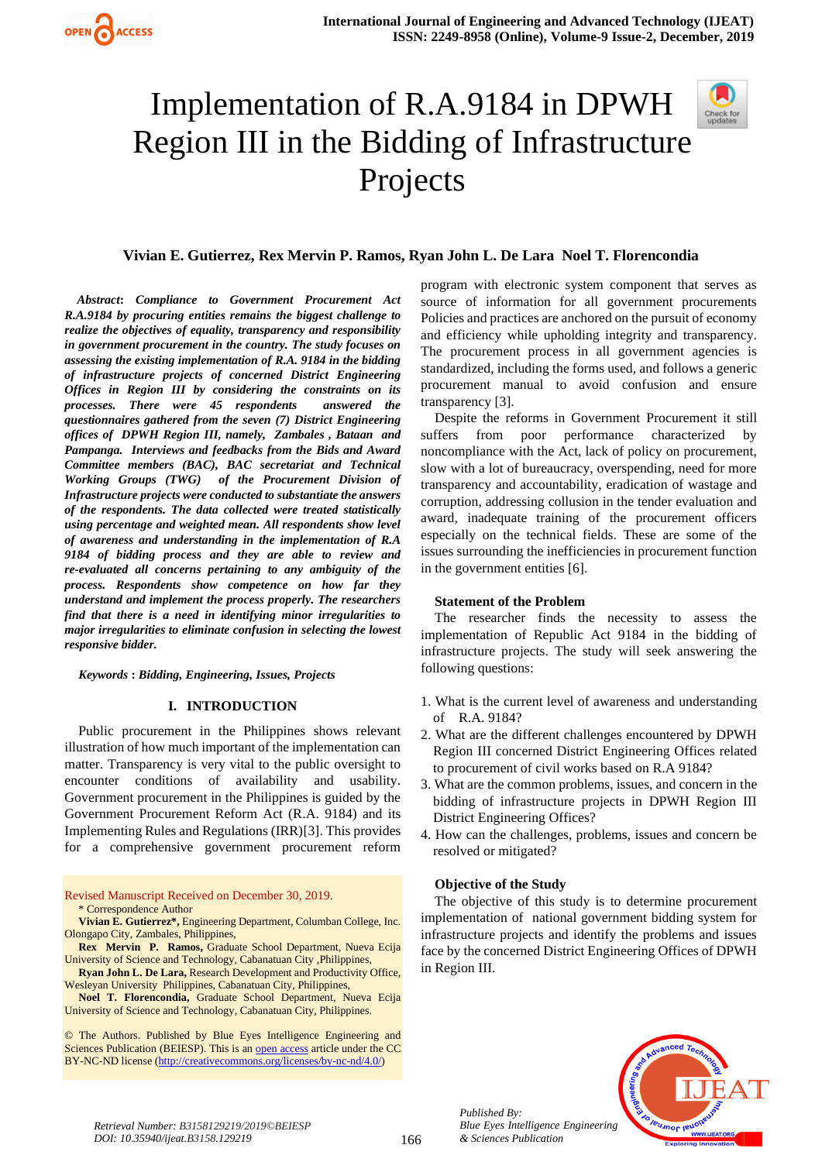# Implementation of R.A.9184 in DPWH Region III in the Bidding of Infrastructure Projects



# **Vivian E. Gutierrez, Rex Mervin P. Ramos, Ryan John L. De Lara Noel T. Florencondia**

 *Abstract***:** *Compliance to Government Procurement Act R.A.9184 by procuring entities remains the biggest challenge to realize the objectives of equality, transparency and responsibility in government procurement in the country. The study focuses on assessing the existing implementation of R.A. 9184 in the bidding of infrastructure projects of concerned District Engineering Offices in Region III by considering the constraints on its processes. There were 45 respondents answered the questionnaires gathered from the seven (7) District Engineering offices of DPWH Region III, namely, Zambales , Bataan and Pampanga. Interviews and feedbacks from the Bids and Award Committee members (BAC), BAC secretariat and Technical Working Groups (TWG) of the Procurement Division of Infrastructure projects were conducted to substantiate the answers of the respondents. The data collected were treated statistically using percentage and weighted mean. All respondents show level of awareness and understanding in the implementation of R.A 9184 of bidding process and they are able to review and re-evaluated all concerns pertaining to any ambiguity of the process. Respondents show competence on how far they understand and implement the process properly. The researchers find that there is a need in identifying minor irregularities to major irregularities to eliminate confusion in selecting the lowest responsive bidder.*

*Keywords* **:** *Bidding, Engineering, Issues, Projects*

## **I. INTRODUCTION**

Public procurement in the Philippines shows relevant illustration of how much important of the implementation can matter. Transparency is very vital to the public oversight to encounter conditions of availability and usability. Government procurement in the Philippines is guided by the Government Procurement Reform Act (R.A. 9184) and its Implementing Rules and Regulations (IRR)[3]. This provides for a comprehensive government procurement reform

Revised Manuscript Received on December 30, 2019. \* Correspondence Author

**Vivian E. Gutierrez\*,** Engineering Department, Columban College, Inc. Olongapo City, Zambales, Philippines,

**Rex Mervin P. Ramos,** Graduate School Department, Nueva Ecija University of Science and Technology, Cabanatuan City ,Philippines,

**Ryan John L. De Lara,** Research Development and Productivity Office, Wesleyan University Philippines, Cabanatuan City, Philippines,

**Noel T. Florencondia,** Graduate School Department, Nueva Ecija University of Science and Technology, Cabanatuan City, Philippines.

© The Authors. Published by Blue Eyes Intelligence Engineering and Sciences Publication (BEIESP). This is a[n open access](https://www.openaccess.nl/en/open-publications) article under the CC BY-NC-ND license [\(http://creativecommons.org/licenses/by-nc-nd/4.0/\)](http://creativecommons.org/licenses/by-nc-nd/4.0/)

program with electronic system component that serves as source of information for all government procurements Policies and practices are anchored on the pursuit of economy and efficiency while upholding integrity and transparency. The procurement process in all government agencies is standardized, including the forms used, and follows a generic procurement manual to avoid confusion and ensure transparency [3].

Despite the reforms in Government Procurement it still suffers from poor performance characterized by noncompliance with the Act, lack of policy on procurement, slow with a lot of bureaucracy, overspending, need for more transparency and accountability, eradication of wastage and corruption, addressing collusion in the tender evaluation and award, inadequate training of the procurement officers especially on the technical fields. These are some of the issues surrounding the inefficiencies in procurement function in the government entities [6].

## **Statement of the Problem**

The researcher finds the necessity to assess the implementation of Republic Act 9184 in the bidding of infrastructure projects. The study will seek answering the following questions:

- 1. What is the current level of awareness and understanding of R.A. 9184?
- 2. What are the different challenges encountered by DPWH Region III concerned District Engineering Offices related to procurement of civil works based on R.A 9184?
- 3. What are the common problems, issues, and concern in the bidding of infrastructure projects in DPWH Region III District Engineering Offices?
- 4. How can the challenges, problems, issues and concern be resolved or mitigated?

## **Objective of the Study**

*Published By:*

*& Sciences Publication* 

The objective of this study is to determine procurement implementation of national government bidding system for infrastructure projects and identify the problems and issues face by the concerned District Engineering Offices of DPWH in Region III.

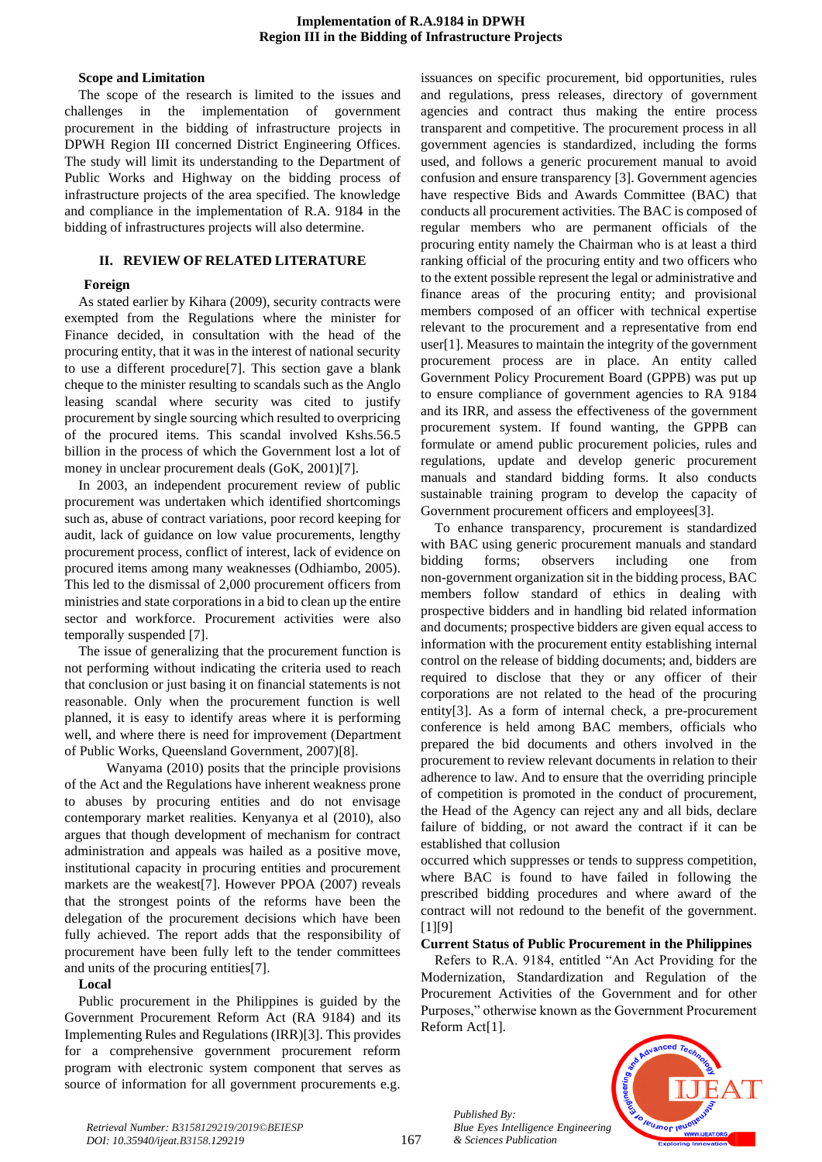## **Implementation of R.A.9184 in DPWH Region III in the Bidding of Infrastructure Projects**

## **Scope and Limitation**

The scope of the research is limited to the issues and challenges in the implementation of government procurement in the bidding of infrastructure projects in DPWH Region III concerned District Engineering Offices. The study will limit its understanding to the Department of Public Works and Highway on the bidding process of infrastructure projects of the area specified. The knowledge and compliance in the implementation of R.A. 9184 in the bidding of infrastructures projects will also determine.

# **II. REVIEW OF RELATED LITERATURE**

# **Foreign**

As stated earlier by Kihara (2009), security contracts were exempted from the Regulations where the minister for Finance decided, in consultation with the head of the procuring entity, that it was in the interest of national security to use a different procedure[7]. This section gave a blank cheque to the minister resulting to scandals such as the Anglo leasing scandal where security was cited to justify procurement by single sourcing which resulted to overpricing of the procured items. This scandal involved Kshs.56.5 billion in the process of which the Government lost a lot of money in unclear procurement deals (GoK, 2001)[7].

In 2003, an independent procurement review of public procurement was undertaken which identified shortcomings such as, abuse of contract variations, poor record keeping for audit, lack of guidance on low value procurements, lengthy procurement process, conflict of interest, lack of evidence on procured items among many weaknesses (Odhiambo, 2005). This led to the dismissal of 2,000 procurement officers from ministries and state corporations in a bid to clean up the entire sector and workforce. Procurement activities were also temporally suspended [7].

The issue of generalizing that the procurement function is not performing without indicating the criteria used to reach that conclusion or just basing it on financial statements is not reasonable. Only when the procurement function is well planned, it is easy to identify areas where it is performing well, and where there is need for improvement (Department of Public Works, Queensland Government, 2007)[8].

Wanyama (2010) posits that the principle provisions of the Act and the Regulations have inherent weakness prone to abuses by procuring entities and do not envisage contemporary market realities. Kenyanya et al (2010), also argues that though development of mechanism for contract administration and appeals was hailed as a positive move, institutional capacity in procuring entities and procurement markets are the weakest[7]. However PPOA (2007) reveals that the strongest points of the reforms have been the delegation of the procurement decisions which have been fully achieved. The report adds that the responsibility of procurement have been fully left to the tender committees and units of the procuring entities[7].

## **Local**

Public procurement in the Philippines is guided by the Government Procurement Reform Act (RA 9184) and its Implementing Rules and Regulations (IRR)[3]. This provides for a comprehensive government procurement reform program with electronic system component that serves as source of information for all government procurements e.g.

issuances on specific procurement, bid opportunities, rules and regulations, press releases, directory of government agencies and contract thus making the entire process transparent and competitive. The procurement process in all government agencies is standardized, including the forms used, and follows a generic procurement manual to avoid confusion and ensure transparency [3]. Government agencies have respective Bids and Awards Committee (BAC) that conducts all procurement activities. The BAC is composed of regular members who are permanent officials of the procuring entity namely the Chairman who is at least a third ranking official of the procuring entity and two officers who to the extent possible represent the legal or administrative and finance areas of the procuring entity; and provisional members composed of an officer with technical expertise relevant to the procurement and a representative from end user[1]. Measures to maintain the integrity of the government procurement process are in place. An entity called Government Policy Procurement Board (GPPB) was put up to ensure compliance of government agencies to RA 9184 and its IRR, and assess the effectiveness of the government procurement system. If found wanting, the GPPB can formulate or amend public procurement policies, rules and regulations, update and develop generic procurement manuals and standard bidding forms. It also conducts sustainable training program to develop the capacity of Government procurement officers and employees[3].

To enhance transparency, procurement is standardized with BAC using generic procurement manuals and standard bidding forms; observers including one from non-government organization sit in the bidding process, BAC members follow standard of ethics in dealing with prospective bidders and in handling bid related information and documents; prospective bidders are given equal access to information with the procurement entity establishing internal control on the release of bidding documents; and, bidders are required to disclose that they or any officer of their corporations are not related to the head of the procuring entity[3]. As a form of internal check, a pre-procurement conference is held among BAC members, officials who prepared the bid documents and others involved in the procurement to review relevant documents in relation to their adherence to law. And to ensure that the overriding principle of competition is promoted in the conduct of procurement, the Head of the Agency can reject any and all bids, declare failure of bidding, or not award the contract if it can be established that collusion

occurred which suppresses or tends to suppress competition, where BAC is found to have failed in following the prescribed bidding procedures and where award of the contract will not redound to the benefit of the government. [1][9]

## **Current Status of Public Procurement in the Philippines**

Refers to R.A. 9184, entitled "An Act Providing for the Modernization, Standardization and Regulation of the Procurement Activities of the Government and for other Purposes," otherwise known as the Government Procurement Reform Act[1].

*Published By: Blue Eyes Intelligence Engineering & Sciences Publication* 

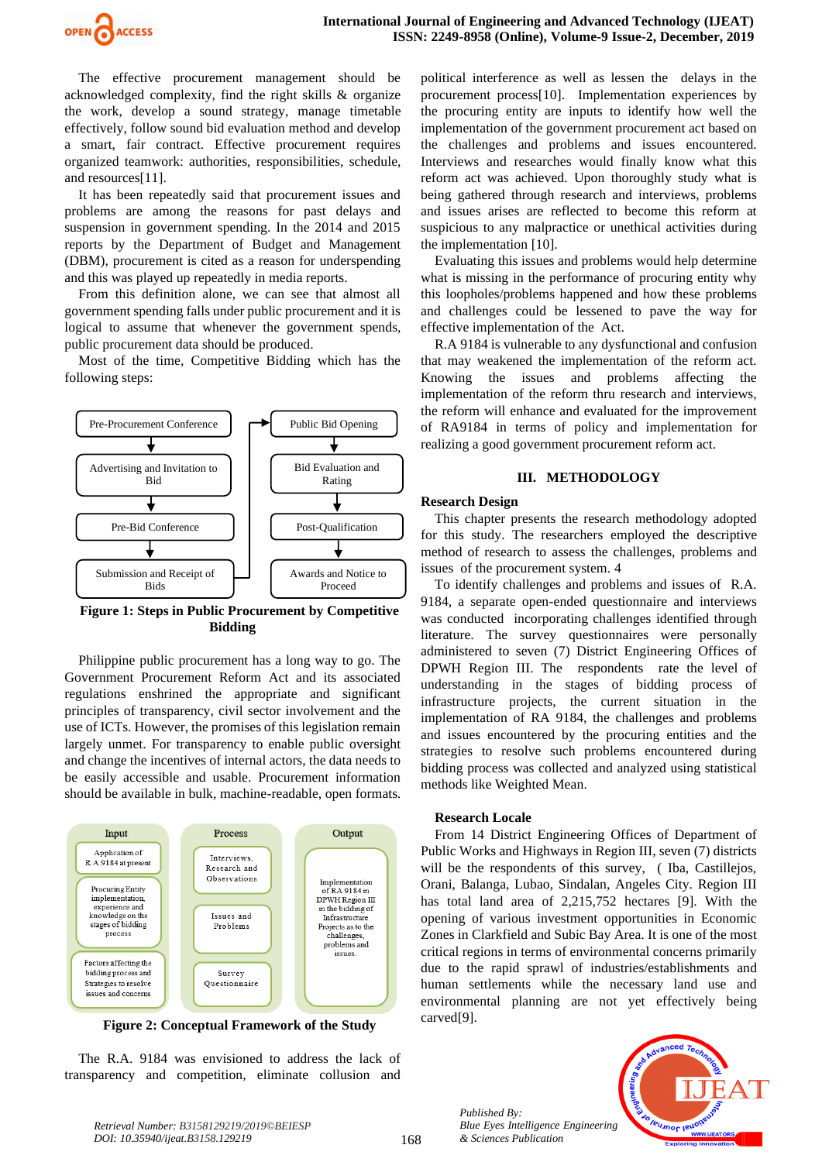

The effective procurement management should be acknowledged complexity, find the right skills & organize the work, develop a sound strategy, manage timetable effectively, follow sound bid evaluation method and develop a smart, fair contract. Effective procurement requires organized teamwork: authorities, responsibilities, schedule, and resources[11].

It has been repeatedly said that procurement issues and problems are among the reasons for past delays and suspension in government spending. In the 2014 and 2015 reports by the Department of Budget and Management (DBM), procurement is cited as a reason for underspending and this was played up repeatedly in media reports.

From this definition alone, we can see that almost all government spending falls under public procurement and it is logical to assume that whenever the government spends, public procurement data should be produced.

Most of the time, Competitive Bidding which has the following steps:



**Figure 1: Steps in Public Procurement by Competitive Bidding**

Philippine public procurement has a long way to go. The Government Procurement Reform Act and its associated regulations enshrined the appropriate and significant principles of transparency, civil sector involvement and the use of ICTs. However, the promises of this legislation remain largely unmet. For transparency to enable public oversight and change the incentives of internal actors, the data needs to be easily accessible and usable. Procurement information should be available in bulk, machine-readable, open formats.



**Figure 2: Conceptual Framework of the Study**

The R.A. 9184 was envisioned to address the lack of transparency and competition, eliminate collusion and

political interference as well as lessen the delays in the procurement process[10]. Implementation experiences by the procuring entity are inputs to identify how well the implementation of the government procurement act based on the challenges and problems and issues encountered. Interviews and researches would finally know what this reform act was achieved. Upon thoroughly study what is being gathered through research and interviews, problems and issues arises are reflected to become this reform at suspicious to any malpractice or unethical activities during the implementation [10].

Evaluating this issues and problems would help determine what is missing in the performance of procuring entity why this loopholes/problems happened and how these problems and challenges could be lessened to pave the way for effective implementation of the Act.

R.A 9184 is vulnerable to any dysfunctional and confusion that may weakened the implementation of the reform act. Knowing the issues and problems affecting the implementation of the reform thru research and interviews, the reform will enhance and evaluated for the improvement of RA9184 in terms of policy and implementation for realizing a good government procurement reform act.

## **III. METHODOLOGY**

# **Research Design**

This chapter presents the research methodology adopted for this study. The researchers employed the descriptive method of research to assess the challenges, problems and issues of the procurement system. 4

To identify challenges and problems and issues of R.A. 9184, a separate open-ended questionnaire and interviews was conducted incorporating challenges identified through literature. The survey questionnaires were personally administered to seven (7) District Engineering Offices of DPWH Region III. The respondents rate the level of understanding in the stages of bidding process of infrastructure projects, the current situation in the implementation of RA 9184, the challenges and problems and issues encountered by the procuring entities and the strategies to resolve such problems encountered during bidding process was collected and analyzed using statistical methods like Weighted Mean.

# **Research Locale**

From 14 District Engineering Offices of Department of Public Works and Highways in Region III, seven (7) districts will be the respondents of this survey, ( Iba, Castillejos, Orani, Balanga, Lubao, Sindalan, Angeles City. Region III has total land area of 2,215,752 hectares [9]. With the opening of various investment opportunities in Economic Zones in Clarkfield and Subic Bay Area. It is one of the most critical regions in terms of environmental concerns primarily due to the rapid sprawl of industries/establishments and human settlements while the necessary land use and environmental planning are not yet effectively being carved[9].

> *Published By: Blue Eyes Intelligence Engineering & Sciences Publication*

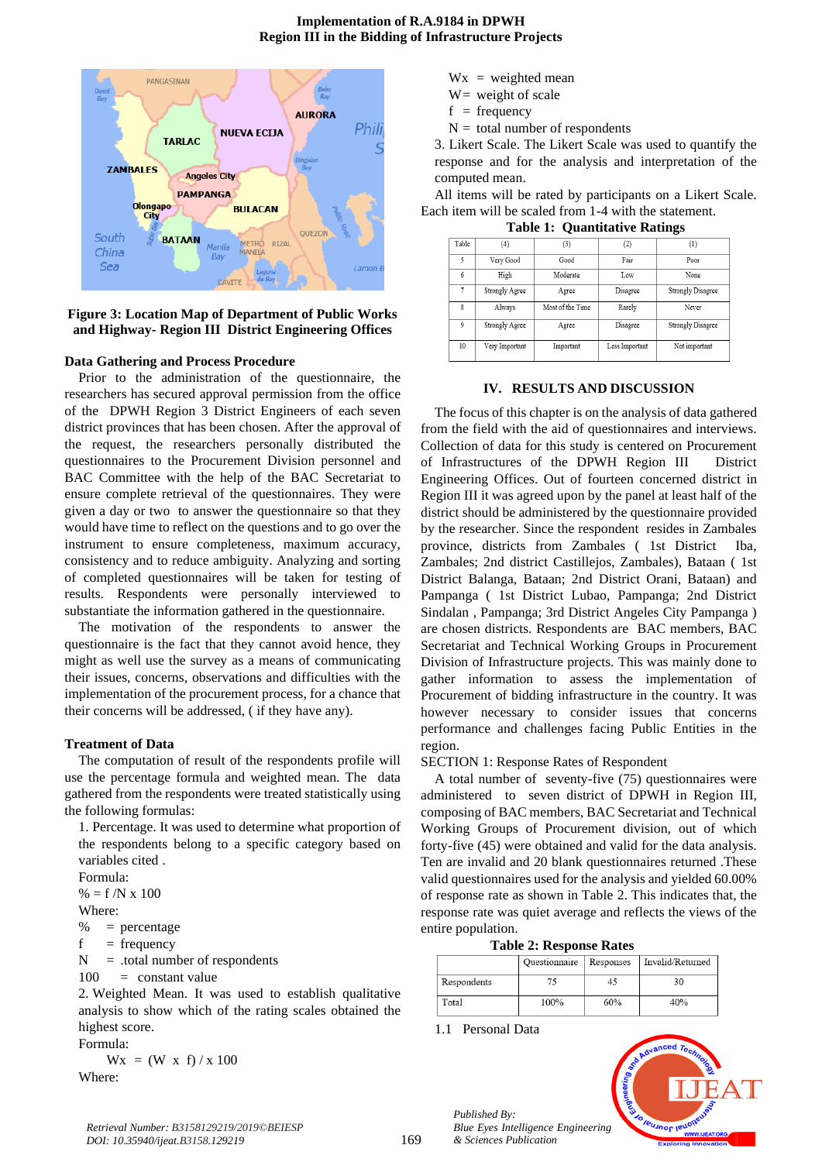# **Implementation of R.A.9184 in DPWH Region III in the Bidding of Infrastructure Projects**



**Figure 3: Location Map of Department of Public Works and Highway- Region III District Engineering Offices**

## **Data Gathering and Process Procedure**

Prior to the administration of the questionnaire, the researchers has secured approval permission from the office of the DPWH Region 3 District Engineers of each seven district provinces that has been chosen. After the approval of the request, the researchers personally distributed the questionnaires to the Procurement Division personnel and BAC Committee with the help of the BAC Secretariat to ensure complete retrieval of the questionnaires. They were given a day or two to answer the questionnaire so that they would have time to reflect on the questions and to go over the instrument to ensure completeness, maximum accuracy, consistency and to reduce ambiguity. Analyzing and sorting of completed questionnaires will be taken for testing of results. Respondents were personally interviewed to substantiate the information gathered in the questionnaire.

The motivation of the respondents to answer the questionnaire is the fact that they cannot avoid hence, they might as well use the survey as a means of communicating their issues, concerns, observations and difficulties with the implementation of the procurement process, for a chance that their concerns will be addressed, ( if they have any).

#### **Treatment of Data**

The computation of result of the respondents profile will use the percentage formula and weighted mean. The data gathered from the respondents were treated statistically using the following formulas:

1. Percentage. It was used to determine what proportion of the respondents belong to a specific category based on variables cited .

Formula:

 $% = f/N \times 100$ 

Where:

 $% =$  percentage

 $f = frequency$ 

 $N =$  total number of respondents

 $100 =$  constant value

2. Weighted Mean. It was used to establish qualitative analysis to show which of the rating scales obtained the highest score. Formula:

 $Wx = (W \times f) / x 100$ 

Where:

- $Wx = weighted mean$
- $W=$  weight of scale
- $f = frequency$
- $N =$  total number of respondents

3. Likert Scale. The Likert Scale was used to quantify the response and for the analysis and interpretation of the computed mean.

All items will be rated by participants on a Likert Scale. Each item will be scaled from 1-4 with the statement.

|  | <b>Table 1: Quantitative Ratings</b> |  |
|--|--------------------------------------|--|
|--|--------------------------------------|--|

| Table       | (4)            | (3)              | $\left( 2\right)$ | $\left(1\right)$         |
|-------------|----------------|------------------|-------------------|--------------------------|
| 5           | Very Good      | Good             | Fair              | Poor                     |
| 6           | High           | Moderate         | Low               | None                     |
| 7           | Strongly Agree | Agree            | Disagree          | Strongly Disagree        |
| 8           | Always         | Most of the Time | Rarely            | Never                    |
| $\mathbf 9$ | Strongly Agree | Agree            | Disagree          | <b>Strongly Disagree</b> |
| 10          | Very Important | Important        | Less Important    | Not important            |

# **IV. RESULTS AND DISCUSSION**

The focus of this chapter is on the analysis of data gathered from the field with the aid of questionnaires and interviews. Collection of data for this study is centered on Procurement of Infrastructures of the DPWH Region III District Engineering Offices. Out of fourteen concerned district in Region III it was agreed upon by the panel at least half of the district should be administered by the questionnaire provided by the researcher. Since the respondent resides in Zambales province, districts from Zambales ( 1st District Iba, Zambales; 2nd district Castillejos, Zambales), Bataan ( 1st District Balanga, Bataan; 2nd District Orani, Bataan) and Pampanga ( 1st District Lubao, Pampanga; 2nd District Sindalan , Pampanga; 3rd District Angeles City Pampanga ) are chosen districts. Respondents are BAC members, BAC Secretariat and Technical Working Groups in Procurement Division of Infrastructure projects. This was mainly done to gather information to assess the implementation of Procurement of bidding infrastructure in the country. It was however necessary to consider issues that concerns performance and challenges facing Public Entities in the region.

#### SECTION 1: Response Rates of Respondent

A total number of seventy-five (75) questionnaires were administered to seven district of DPWH in Region III, composing of BAC members, BAC Secretariat and Technical Working Groups of Procurement division, out of which forty-five (45) were obtained and valid for the data analysis. Ten are invalid and 20 blank questionnaires returned .These valid questionnaires used for the analysis and yielded 60.00% of response rate as shown in Table 2. This indicates that, the response rate was quiet average and reflects the views of the entire population.

|  |  | <b>Table 2: Response Rates</b> |  |
|--|--|--------------------------------|--|
|--|--|--------------------------------|--|

|             | Ouestionnaire | Responses | Invalid/Returned |  |
|-------------|---------------|-----------|------------------|--|
| Respondents |               |           | 30               |  |
| Total       | 100%          | 60%       | 40%              |  |

1.1 Personal Data

*Published By:*

*& Sciences Publication* 



*Retrieval Number: B3158129219/2019©BEIESP DOI: 10.35940/ijeat.B3158.129219*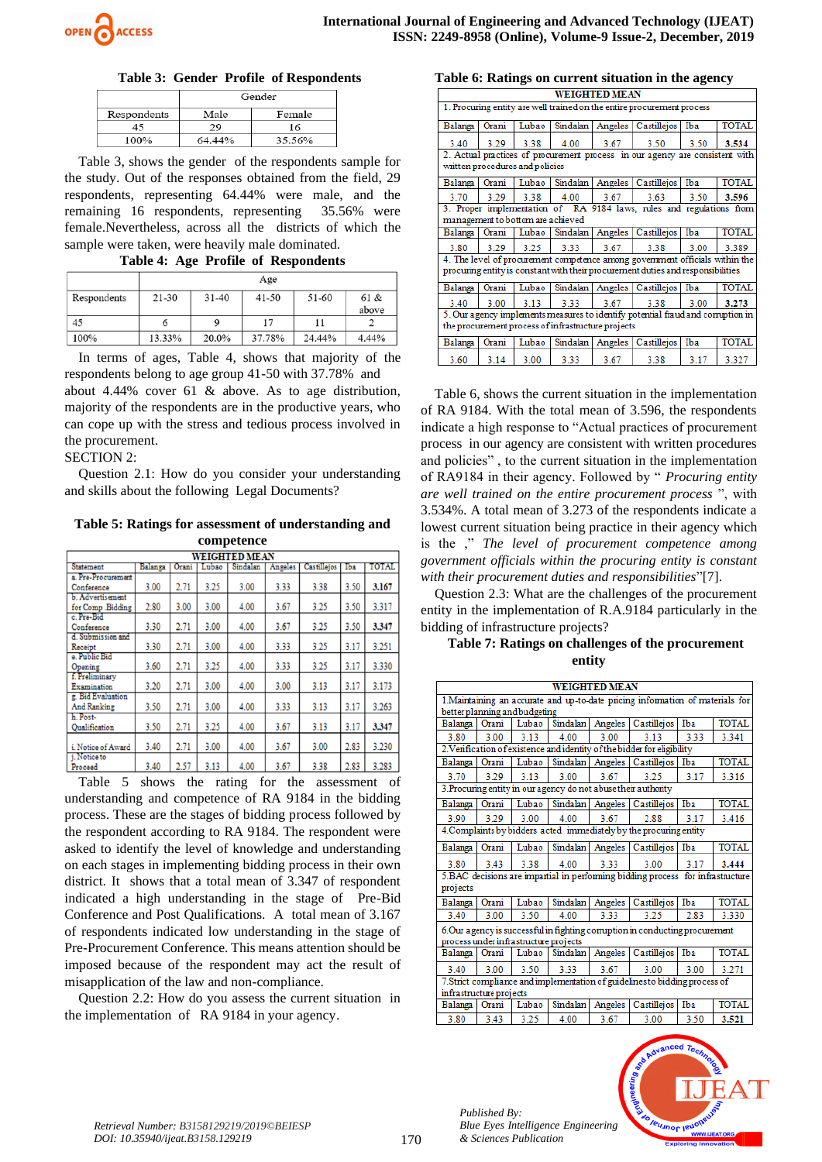

# **Table 3: Gender Profile of Respondents**

|             | Gender |        |  |  |  |  |
|-------------|--------|--------|--|--|--|--|
| Respondents | Male   | Female |  |  |  |  |
| 45          | 29     | 16     |  |  |  |  |
| 100%        | 64.44% | 35.56% |  |  |  |  |

Table 3, shows the gender of the respondents sample for the study. Out of the responses obtained from the field, 29 respondents, representing 64.44% were male, and the remaining 16 respondents, representing 35.56% were female.Nevertheless, across all the districts of which the sample were taken, were heavily male dominated.

**Table 4: Age Profile of Respondents**

|             | Age       |         |           |        |               |  |  |  |  |  |
|-------------|-----------|---------|-----------|--------|---------------|--|--|--|--|--|
| Respondents | $21 - 30$ | $31-40$ | $41 - 50$ | 51-60  | 61 &<br>above |  |  |  |  |  |
| 45          | 6         | 9       | 17        | 11     |               |  |  |  |  |  |
| 100%        | 13.33%    | 20.0%   | 37.78%    | 24.44% | 4.44%         |  |  |  |  |  |

In terms of ages, Table 4, shows that majority of the respondents belong to age group 41-50 with 37.78% and about 4.44% cover 61 & above. As to age distribution, majority of the respondents are in the productive years, who can cope up with the stress and tedious process involved in the procurement.

SECTION 2:

Question 2.1: How do you consider your understanding and skills about the following Legal Documents?

## **Table 5: Ratings for assessment of understanding and competence**

|                         | <b>WEIGHTED MEAN</b> |       |       |          |         |             |      |       |  |  |  |  |
|-------------------------|----------------------|-------|-------|----------|---------|-------------|------|-------|--|--|--|--|
| Statement               | Balanga              | Orani | Lubao | Sindalan | Angeles | Castillejos | Iba  | TOTAL |  |  |  |  |
| a. Pre-Procurement      |                      |       |       |          |         |             |      |       |  |  |  |  |
| Conference              | 3.00                 | 2.71  | 3.25  | 3.00     | 3.33    | 3.38        | 3.50 | 3.167 |  |  |  |  |
| <b>b.</b> Advertisement |                      |       |       |          |         |             |      |       |  |  |  |  |
| for Comp. Bidding       | 2.80                 | 3.00  | 3.00  | 4.00     | 3.67    | 3.25        | 3.50 | 3.317 |  |  |  |  |
| c. Pre-Bid              |                      |       |       |          |         |             |      |       |  |  |  |  |
| Conference              | 3.30                 | 2.71  | 3.00  | 4.00     | 3.67    | 3.25        | 3.50 | 3.347 |  |  |  |  |
| d. Submission and       |                      |       |       |          |         |             |      |       |  |  |  |  |
| Receipt                 | 3.30                 | 2.71  | 3.00  | 4.00     | 3.33    | 3.25        | 3.17 | 3.251 |  |  |  |  |
| e. Public Bid           |                      |       |       |          |         |             |      |       |  |  |  |  |
| Opening                 | 3.60                 | 2.71  | 3.25  | 4.00     | 3.33    | 3.25        | 3.17 | 3.330 |  |  |  |  |
| f. Preliminary          |                      |       |       |          |         |             |      |       |  |  |  |  |
| Examination             | 3.20                 | 2.71  | 3.00  | 4.00     | 3.00    | 3.13        | 3.17 | 3.173 |  |  |  |  |
| g. Bid Evaluation       |                      |       |       |          |         |             |      |       |  |  |  |  |
| And Ranking             | 3.50                 | 2.71  | 3.00  | 4.00     | 3.33    | 3.13        | 3.17 | 3.263 |  |  |  |  |
| h. Post-                |                      |       |       |          |         |             |      |       |  |  |  |  |
| <b>Qualification</b>    | 3.50                 | 2.71  | 3.25  | 4.00     | 3.67    | 3.13        | 3.17 | 3.347 |  |  |  |  |
| i. Notice of Award      | 3.40                 | 2.71  | 3.00  | 4.00     | 3.67    | 3.00        | 2.83 | 3.230 |  |  |  |  |
| i. Notice to            |                      |       |       |          |         |             |      |       |  |  |  |  |
| Proceed                 | 3.40                 | 2.57  | 3.13  | 4.00     | 3.67    | 3.38        | 2.83 | 3.283 |  |  |  |  |

Table 5 shows the rating for the assessment of understanding and competence of RA 9184 in the bidding process. These are the stages of bidding process followed by the respondent according to RA 9184. The respondent were asked to identify the level of knowledge and understanding on each stages in implementing bidding process in their own district. It shows that a total mean of 3.347 of respondent indicated a high understanding in the stage of Pre-Bid Conference and Post Qualifications. A total mean of 3.167 of respondents indicated low understanding in the stage of Pre-Procurement Conference. This means attention should be imposed because of the respondent may act the result of misapplication of the law and non-compliance.

Question 2.2: How do you assess the current situation in the implementation of RA 9184 in your agency.

## **Table 6: Ratings on current situation in the agency**

|                                                                        |                                                                                                                 |                                   |                                                    | <b>WEIGHTED MEAN</b> |                                                                                                                                                                 |      |              |  |  |  |  |
|------------------------------------------------------------------------|-----------------------------------------------------------------------------------------------------------------|-----------------------------------|----------------------------------------------------|----------------------|-----------------------------------------------------------------------------------------------------------------------------------------------------------------|------|--------------|--|--|--|--|
| 1. Procuring entity are well trained on the entire procurement process |                                                                                                                 |                                   |                                                    |                      |                                                                                                                                                                 |      |              |  |  |  |  |
| Balanga                                                                | <b>TOTAL</b><br>Sindalan<br>Lubao<br>Castillejos<br>Angeles<br>Iba<br>Orani                                     |                                   |                                                    |                      |                                                                                                                                                                 |      |              |  |  |  |  |
| 3.40                                                                   | 3.29                                                                                                            | 3.38                              | 4.00                                               | 3.67                 | 3.50                                                                                                                                                            | 3.50 | 3.534        |  |  |  |  |
|                                                                        | 2. Actual practices of procurement process in our agency are consistent with<br>written procedures and policies |                                   |                                                    |                      |                                                                                                                                                                 |      |              |  |  |  |  |
| Balanga                                                                | Orani                                                                                                           | Lubao                             | Sindalan                                           | Angeles              | Castillejos                                                                                                                                                     | Iba  | <b>TOTAL</b> |  |  |  |  |
| 3.70                                                                   | 3.29                                                                                                            | 3.38                              | 4.00                                               | 3.67                 | 3.63                                                                                                                                                            | 3.50 | 3.596        |  |  |  |  |
|                                                                        |                                                                                                                 |                                   |                                                    |                      | 3. Proper implementation of RA 9184 laws, rules and regulations from                                                                                            |      |              |  |  |  |  |
|                                                                        |                                                                                                                 | management to bottom are achieved |                                                    |                      |                                                                                                                                                                 |      |              |  |  |  |  |
| Balanga   Orani                                                        |                                                                                                                 | Lubao                             | Sindalan                                           |                      | Angeles   Castillejos   Iba                                                                                                                                     |      | <b>TOTAL</b> |  |  |  |  |
| 3.80                                                                   | 3.29                                                                                                            | 3.25                              | 3.33                                               | 3.67                 | 3.38                                                                                                                                                            | 3.00 | 3.389        |  |  |  |  |
|                                                                        |                                                                                                                 |                                   |                                                    |                      | 4. The level of procurement competence among government officials within the<br>procuring entity is constant with their procurement duties and responsibilities |      |              |  |  |  |  |
| <b>Balanga</b>                                                         | Orani                                                                                                           | Lubao                             |                                                    | Sindalan Angeles     | Castilleios                                                                                                                                                     | Iba  | <b>TOTAL</b> |  |  |  |  |
| 3.40                                                                   | 3.00                                                                                                            | 3.13                              | 3.33                                               | 3.67                 | 3.38                                                                                                                                                            | 3.00 | 3.273        |  |  |  |  |
|                                                                        |                                                                                                                 |                                   |                                                    |                      | 5. Our agency implements measures to identify potential fraud and comption in                                                                                   |      |              |  |  |  |  |
|                                                                        |                                                                                                                 |                                   | the procurement process of infrastructure projects |                      |                                                                                                                                                                 |      |              |  |  |  |  |
| Balanga                                                                | Orani                                                                                                           | Lubao                             |                                                    | Sindalan Angeles     | Castillejos                                                                                                                                                     | Iba  | <b>TOTAL</b> |  |  |  |  |
| 3.60                                                                   | 3.14                                                                                                            | 3.00                              | 3.33                                               | 3.67                 | 3.38                                                                                                                                                            | 3.17 | 3.327        |  |  |  |  |

Table 6, shows the current situation in the implementation of RA 9184. With the total mean of 3.596, the respondents indicate a high response to "Actual practices of procurement process in our agency are consistent with written procedures and policies" , to the current situation in the implementation of RA9184 in their agency. Followed by " *Procuring entity are well trained on the entire procurement process* ", with 3.534%. A total mean of 3.273 of the respondents indicate a lowest current situation being practice in their agency which is the ," *The level of procurement competence among government officials within the procuring entity is constant with their procurement duties and responsibilities*"[7].

Question 2.3: What are the challenges of the procurement entity in the implementation of R.A.9184 particularly in the bidding of infrastructure projects?

# **Table 7: Ratings on challenges of the procurement entity**

| <b>WEIGHTED MEAN</b>                                                           |                                                       |                                                                    |          |         |                                                                                |      |              |  |  |  |  |  |
|--------------------------------------------------------------------------------|-------------------------------------------------------|--------------------------------------------------------------------|----------|---------|--------------------------------------------------------------------------------|------|--------------|--|--|--|--|--|
| 1. Maintaining an accurate and up-to-date pricing information of materials for |                                                       |                                                                    |          |         |                                                                                |      |              |  |  |  |  |  |
| better planning and budgeting                                                  |                                                       |                                                                    |          |         |                                                                                |      |              |  |  |  |  |  |
| Balanga                                                                        | Orani                                                 | Sindalan<br><b>TOTAL</b><br>Lubao<br>Angeles<br>Castillejos<br>Iba |          |         |                                                                                |      |              |  |  |  |  |  |
| 3.80                                                                           | 3.13<br>4.00<br>3.00<br>3.13<br>3.33<br>3.341<br>3.00 |                                                                    |          |         |                                                                                |      |              |  |  |  |  |  |
|                                                                                |                                                       |                                                                    |          |         | 2. Verification of existence and identity of the bidder for eligibility        |      |              |  |  |  |  |  |
| Balanga                                                                        | Orani                                                 | Lubao                                                              | Sindalan |         | Angeles Castillejos                                                            | Iba  | <b>TOTAL</b> |  |  |  |  |  |
| 3.70                                                                           | 3.29                                                  | 3.13                                                               | 3.00     | 3.67    | 3.25                                                                           | 3.17 | 3.316        |  |  |  |  |  |
|                                                                                |                                                       |                                                                    |          |         | 3. Procuring entity in our agency do not abuse their authority                 |      |              |  |  |  |  |  |
| Balanga                                                                        | Orani                                                 | Lubao                                                              | Sindalan | Angeles | Castillejos                                                                    | Iba  | <b>TOTAL</b> |  |  |  |  |  |
| 3.90                                                                           | 3.29                                                  | 3.00                                                               | 4.00     | 3.67    | 2.88                                                                           | 3.17 | 3.416        |  |  |  |  |  |
|                                                                                |                                                       |                                                                    |          |         | 4. Complaints by bidders acted immediately by the procuring entity             |      |              |  |  |  |  |  |
| Balanga                                                                        | Orani                                                 | Lubao                                                              |          |         | Sindalan Angeles Castillejos                                                   | Iba  | <b>TOTAL</b> |  |  |  |  |  |
| 3.80                                                                           | 3.43                                                  | 3.38                                                               | 4.00     | 3.33    | 3.00                                                                           | 3.17 | 3.444        |  |  |  |  |  |
|                                                                                |                                                       |                                                                    |          |         | 5.BAC decisions are impartial in performing bidding process for infrastructure |      |              |  |  |  |  |  |
| projects                                                                       |                                                       |                                                                    |          |         |                                                                                |      |              |  |  |  |  |  |
| Balanga                                                                        | Orani                                                 | Lubao                                                              | Sindalan | Angeles | Castillejos                                                                    | Iba  | <b>TOTAL</b> |  |  |  |  |  |
| 3.40                                                                           | 3.00                                                  | 3.50                                                               | 4.00     | 3.33    | 3.25                                                                           | 2.83 | 3.330        |  |  |  |  |  |
|                                                                                |                                                       |                                                                    |          |         | 6.Our agency is successful in fighting corruption in conducting procurement    |      |              |  |  |  |  |  |
|                                                                                |                                                       | process under infrastructure projects                              |          |         |                                                                                |      |              |  |  |  |  |  |
| Balanga                                                                        | Orani                                                 | Lubao                                                              | Sindalan | Angeles | Castillejos                                                                    | Iba  | <b>TOTAL</b> |  |  |  |  |  |
| 3.40                                                                           | 3.00                                                  | 3.50                                                               | 3.33     | 3.67    | 3.00                                                                           | 3.00 | 3.271        |  |  |  |  |  |
|                                                                                |                                                       |                                                                    |          |         | 7. Strict compliance and implementation of guidelines to bidding process of    |      |              |  |  |  |  |  |
|                                                                                | infrastructure projects                               |                                                                    |          |         |                                                                                |      |              |  |  |  |  |  |
| Balanga                                                                        | Orani                                                 | Lubao                                                              | Sindalan | Angeles | Castillejos                                                                    | Iba  | <b>TOTAL</b> |  |  |  |  |  |
| 3.80                                                                           | 3.43                                                  | 3.25                                                               | 4.00     | 3.67    | 3.00                                                                           | 3.50 | 3.521        |  |  |  |  |  |

*Published By: Blue Eyes Intelligence Engineering & Sciences Publication* 

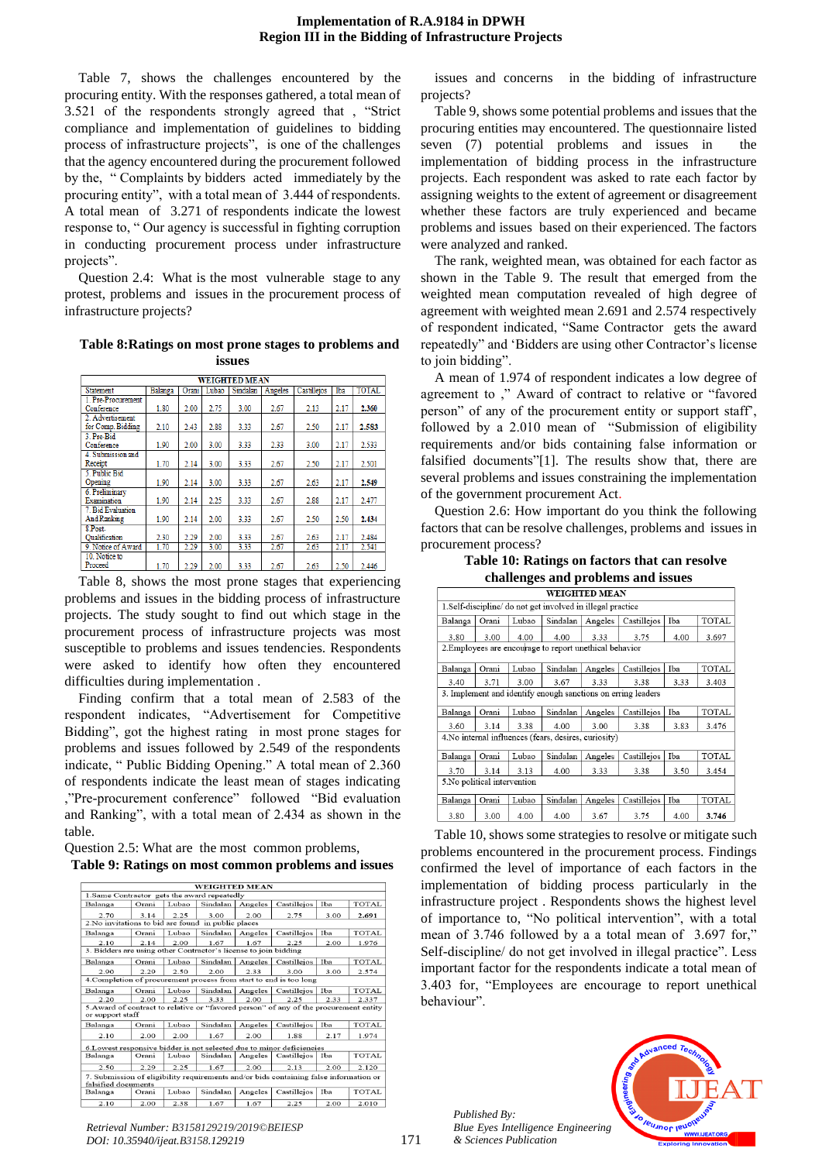Table 7, shows the challenges encountered by the procuring entity. With the responses gathered, a total mean of 3.521 of the respondents strongly agreed that , "Strict compliance and implementation of guidelines to bidding process of infrastructure projects", is one of the challenges that the agency encountered during the procurement followed by the, " Complaints by bidders acted immediately by the procuring entity", with a total mean of 3.444 of respondents. A total mean of 3.271 of respondents indicate the lowest response to, " Our agency is successful in fighting corruption in conducting procurement process under infrastructure projects".

Question 2.4: What is the most vulnerable stage to any protest, problems and issues in the procurement process of infrastructure projects?

# **Table 8:Ratings on most prone stages to problems and issues**

| <b>WEIGHTED MEAN</b> |                                                                                 |      |      |      |      |      |      |       |  |  |  |
|----------------------|---------------------------------------------------------------------------------|------|------|------|------|------|------|-------|--|--|--|
| <b>Statement</b>     | Castillejos<br>TOTAL<br>Iba<br>Balanga<br>Sindalan<br>Lubao<br>Angeles<br>Orani |      |      |      |      |      |      |       |  |  |  |
| 1. Pre-Procurement   |                                                                                 |      |      |      |      |      |      |       |  |  |  |
| Conference           | 1.80                                                                            | 2.00 | 2.75 | 3.00 | 2.67 | 2.13 | 2.17 | 2.360 |  |  |  |
| 2. Advertisement     |                                                                                 |      |      |      |      |      |      |       |  |  |  |
| for Comp. Bidding    | 2.10                                                                            | 2.43 | 2.88 | 3.33 | 2.67 | 2.50 | 2.17 | 2.583 |  |  |  |
| 3. Pre-Bid           |                                                                                 |      |      |      |      |      |      |       |  |  |  |
| Conference           | 1.90                                                                            | 2.00 | 3.00 | 3.33 | 2.33 | 3.00 | 2.17 | 2.533 |  |  |  |
| 4. Submission and    |                                                                                 |      |      |      |      |      |      |       |  |  |  |
| Receipt              | 1.70                                                                            | 2.14 | 3.00 | 3.33 | 2.67 | 2.50 | 2.17 | 2.501 |  |  |  |
| 5. Public Bid        |                                                                                 |      |      |      |      |      |      |       |  |  |  |
| Opening              | 1.90                                                                            | 2.14 | 3.00 | 3.33 | 2.67 | 2.63 | 2.17 | 2.549 |  |  |  |
| 6. Preliminary       |                                                                                 |      |      |      |      |      |      |       |  |  |  |
| Examination          | 1.90                                                                            | 2.14 | 2.25 | 3.33 | 2.67 | 2.88 | 2.17 | 2.477 |  |  |  |
| 7. Bid Evaluation    |                                                                                 |      |      |      |      |      |      |       |  |  |  |
| <b>And Ranking</b>   | 1.90                                                                            | 2.14 | 2.00 | 3.33 | 2.67 | 2.50 | 2.50 | 2.434 |  |  |  |
| 8.Post-              |                                                                                 |      |      |      |      |      |      |       |  |  |  |
| Oualification        | 2.30                                                                            | 2.29 | 2.00 | 3.33 | 2.67 | 2.63 | 2.17 | 2.484 |  |  |  |
| 9. Notice of Award   | 1.70                                                                            | 2.29 | 3.00 | 3.33 | 2.67 | 2.63 | 2.17 | 2.541 |  |  |  |
| 10. Notice to        |                                                                                 |      |      |      |      |      |      |       |  |  |  |
| Proceed              | 1.70                                                                            | 2.29 | 2.00 | 3.33 | 2.67 | 2.63 | 2.50 | 2.446 |  |  |  |

Table 8, shows the most prone stages that experiencing problems and issues in the bidding process of infrastructure projects. The study sought to find out which stage in the procurement process of infrastructure projects was most susceptible to problems and issues tendencies. Respondents were asked to identify how often they encountered difficulties during implementation .

Finding confirm that a total mean of 2.583 of the respondent indicates, "Advertisement for Competitive Bidding", got the highest rating in most prone stages for problems and issues followed by 2.549 of the respondents indicate, " Public Bidding Opening." A total mean of 2.360 of respondents indicate the least mean of stages indicating ,"Pre-procurement conference" followed "Bid evaluation and Ranking", with a total mean of 2.434 as shown in the table.

Question 2.5: What are the most common problems, **Table 9: Ratings on most common problems and issues**

| <b>WEIGHTED MEAN</b>                                                                                         |                                                     |                                                                    |          |         |             |      |              |  |  |  |  |  |  |
|--------------------------------------------------------------------------------------------------------------|-----------------------------------------------------|--------------------------------------------------------------------|----------|---------|-------------|------|--------------|--|--|--|--|--|--|
| 1.Same Contractor gets the award repeatedly                                                                  |                                                     |                                                                    |          |         |             |      |              |  |  |  |  |  |  |
| Balanga                                                                                                      | Orani                                               | Iba<br><b>TOTAL</b><br>Lubao<br>Sindalan<br>Castillejos<br>Angeles |          |         |             |      |              |  |  |  |  |  |  |
| 2.25<br>3.00<br>2.00<br>2.75<br>3.00<br>2.691<br>2.70<br>3.14                                                |                                                     |                                                                    |          |         |             |      |              |  |  |  |  |  |  |
|                                                                                                              | 2. No invitations to bid are found in public places |                                                                    |          |         |             |      |              |  |  |  |  |  |  |
| Balanga                                                                                                      | Orani                                               | Lubao                                                              | Sindalan | Angeles | Castillejos | Iba  | <b>TOTAL</b> |  |  |  |  |  |  |
| 2.10                                                                                                         | 2.14                                                | 2.00                                                               | 1.67     | 1.67    | 2.25        | 2.00 | 1.976        |  |  |  |  |  |  |
| 3. Bidders are using other Contractor's license to join bidding                                              |                                                     |                                                                    |          |         |             |      |              |  |  |  |  |  |  |
| Balanga                                                                                                      | Orani                                               | Lubao                                                              | Sindalan | Angeles | Castillejos | Iba  | <b>TOTAL</b> |  |  |  |  |  |  |
| 2.90                                                                                                         | 2.29                                                | 2.50                                                               | 2.00     | 2.33    | 3.00        | 3.00 | 2.574        |  |  |  |  |  |  |
| 4. Completion of procurement process from start to end is too long                                           |                                                     |                                                                    |          |         |             |      |              |  |  |  |  |  |  |
| Balanga                                                                                                      | Orani                                               | Lubao                                                              | Sindalan | Angeles | Castillejos | Iba  | <b>TOTAL</b> |  |  |  |  |  |  |
| 2.20                                                                                                         | 2.00                                                | 2.25                                                               | 3.33     | 2.00    | 2.25        | 2.33 | 2.337        |  |  |  |  |  |  |
| 5. Award of contract to relative or "favored person" of any of the procurement entity<br>or support staff    |                                                     |                                                                    |          |         |             |      |              |  |  |  |  |  |  |
| Balanga                                                                                                      | Orani                                               | Lubao                                                              | Sindalan | Angeles | Castillejos | Iba  | <b>TOTAL</b> |  |  |  |  |  |  |
| 2.10                                                                                                         | 2.00                                                | 2.00                                                               | 1.67     | 2.00    | 1.88        | 2.17 | 1.974        |  |  |  |  |  |  |
| 6. Lowest responsive bidder is not selected due to minor deficiencies                                        |                                                     |                                                                    |          |         |             |      |              |  |  |  |  |  |  |
| Balanga                                                                                                      | Orani                                               | Lubao                                                              | Sindalan | Angeles | Castillejos | Iba  | <b>TOTAL</b> |  |  |  |  |  |  |
| 2.50                                                                                                         | 2.29                                                | 2.25                                                               | 1.67     | 2.00    | 2.13        | 2.00 | 2.120        |  |  |  |  |  |  |
| 7. Submission of eligibility requirements and/or bids containing false information or<br>falsified documents |                                                     |                                                                    |          |         |             |      |              |  |  |  |  |  |  |
| Balanga                                                                                                      | Orani                                               | Lubao                                                              | Sindalan | Angeles | Castillejos | Iba  | <b>TOTAL</b> |  |  |  |  |  |  |
| 2.10                                                                                                         | 2.00                                                | 2.38                                                               | 1.67     | 1.67    | 2.25        | 2.00 | 2.010        |  |  |  |  |  |  |

issues and concerns in the bidding of infrastructure projects?

Table 9, shows some potential problems and issues that the procuring entities may encountered. The questionnaire listed seven (7) potential problems and issues in the implementation of bidding process in the infrastructure projects. Each respondent was asked to rate each factor by assigning weights to the extent of agreement or disagreement whether these factors are truly experienced and became problems and issues based on their experienced. The factors were analyzed and ranked.

The rank, weighted mean, was obtained for each factor as shown in the Table 9. The result that emerged from the weighted mean computation revealed of high degree of agreement with weighted mean 2.691 and 2.574 respectively of respondent indicated, "Same Contractor gets the award repeatedly" and 'Bidders are using other Contractor's license to join bidding".

A mean of 1.974 of respondent indicates a low degree of agreement to ," Award of contract to relative or "favored person" of any of the procurement entity or support staff', followed by a 2.010 mean of "Submission of eligibility requirements and/or bids containing false information or falsified documents"[1]. The results show that, there are several problems and issues constraining the implementation of the government procurement Act.

Question 2.6: How important do you think the following factors that can be resolve challenges, problems and issues in procurement process?

**Table 10: Ratings on factors that can resolve challenges and problems and issues**

| chancinges and problems and issues                          |                              |                                                                    |                                                         |         |                                                              |      |              |  |  |  |  |  |
|-------------------------------------------------------------|------------------------------|--------------------------------------------------------------------|---------------------------------------------------------|---------|--------------------------------------------------------------|------|--------------|--|--|--|--|--|
|                                                             | <b>WEIGHTED MEAN</b>         |                                                                    |                                                         |         |                                                              |      |              |  |  |  |  |  |
| 1. Self-discipline/ do not get involved in illegal practice |                              |                                                                    |                                                         |         |                                                              |      |              |  |  |  |  |  |
| Balanga                                                     | Orani                        | Sindalan<br>Lubao<br>Castillejos<br><b>TOTAL</b><br>Angeles<br>Iba |                                                         |         |                                                              |      |              |  |  |  |  |  |
| 3.80                                                        | 3.00                         | 4.00                                                               | 4.00                                                    | 3.33    | 3.75                                                         | 4.00 | 3.697        |  |  |  |  |  |
|                                                             |                              |                                                                    | 2. Employees are encourage to report unethical behavior |         |                                                              |      |              |  |  |  |  |  |
|                                                             |                              |                                                                    |                                                         |         |                                                              |      |              |  |  |  |  |  |
| Balanga                                                     | Orani                        | Lubao                                                              | Sindalan                                                | Angeles | Castillejos                                                  | Iba  | TOTAL        |  |  |  |  |  |
| 3.40                                                        | 3.71                         | 3.00                                                               | 3.67                                                    | 3.33    | 3.38                                                         | 3.33 | 3.403        |  |  |  |  |  |
|                                                             |                              |                                                                    |                                                         |         | 3. Implement and identify enough sanctions on erring leaders |      |              |  |  |  |  |  |
| Balanga                                                     | Orani                        | Lubao                                                              | Sindalan                                                | Angeles | Castillejos                                                  | Iba  | <b>TOTAL</b> |  |  |  |  |  |
| 3.60                                                        | 3.14                         | 3.38                                                               | 4.00                                                    | 3.00    | 3.38                                                         | 3.83 | 3.476        |  |  |  |  |  |
|                                                             |                              |                                                                    | 4. No internal influences (fears, desires, curiosity)   |         |                                                              |      |              |  |  |  |  |  |
| Balanga                                                     | Orani                        | Lubao                                                              | Sindalan                                                | Angeles | Castillejos                                                  | Iba  | TOTAL        |  |  |  |  |  |
| 3.70                                                        | 3.14                         | 3.13                                                               | 4.00                                                    | 3.33    | 3.38                                                         | 3.50 | 3.454        |  |  |  |  |  |
|                                                             | 5. No political intervention |                                                                    |                                                         |         |                                                              |      |              |  |  |  |  |  |
| Balanga                                                     | Orani                        | Lubao                                                              | Sindalan                                                | Angeles | Castillejos                                                  | Iba  | TOTAL        |  |  |  |  |  |
| 3.80                                                        | 3.00                         | 4.00                                                               | 4.00                                                    | 3.67    | 3.75                                                         | 4.00 | 3.746        |  |  |  |  |  |

Table 10, shows some strategies to resolve or mitigate such problems encountered in the procurement process. Findings confirmed the level of importance of each factors in the implementation of bidding process particularly in the infrastructure project . Respondents shows the highest level of importance to, "No political intervention", with a total mean of 3.746 followed by a a total mean of 3.697 for," Self-discipline/ do not get involved in illegal practice". Less important factor for the respondents indicate a total mean of 3.403 for, "Employees are encourage to report unethical behaviour".

*Published By: Blue Eyes Intelligence Engineering & Sciences Publication* 



*Retrieval Number: B3158129219/2019©BEIESP DOI: 10.35940/ijeat.B3158.129219*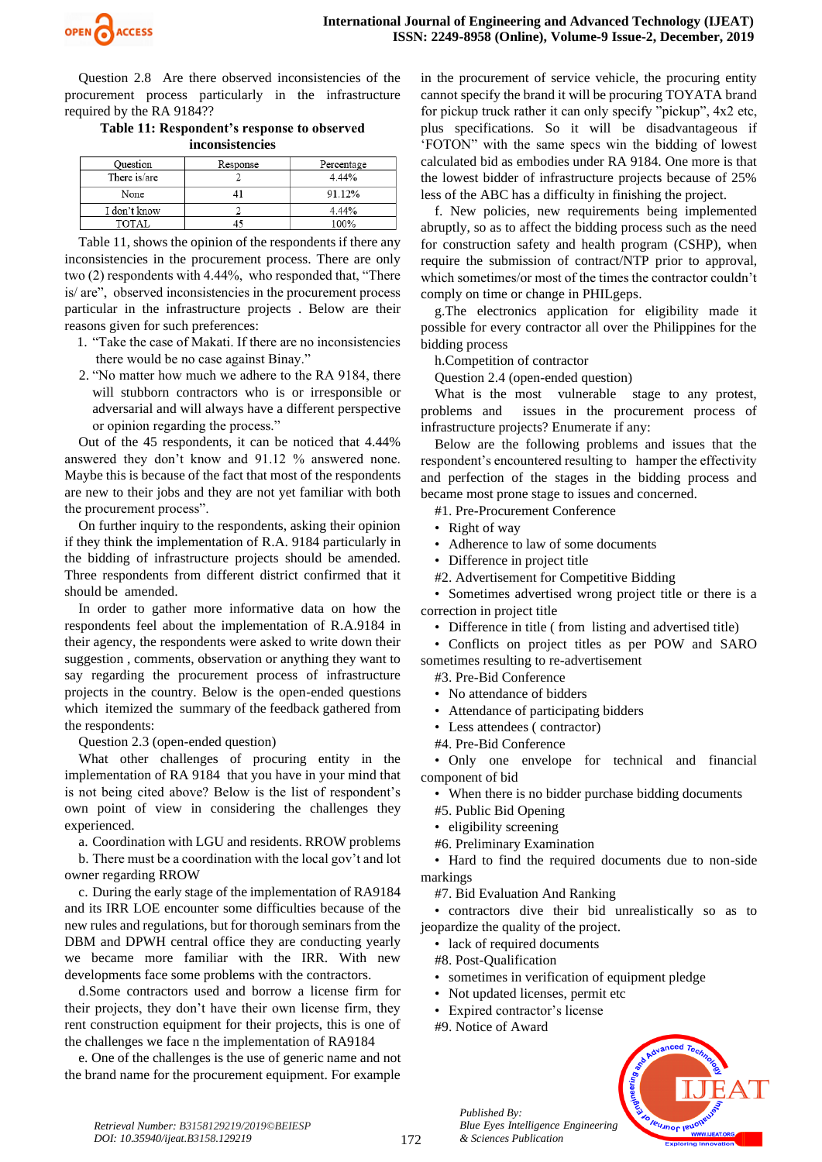

Question 2.8 Are there observed inconsistencies of the procurement process particularly in the infrastructure required by the RA 9184??

**Table 11: Respondent's response to observed inconsistencies**

| Ouestion     | Response | Percentage |
|--------------|----------|------------|
| There is/are |          | 4.44%      |
| None         |          | 91.12%     |
| I don't know |          | 4.44%      |
| TOTAL        |          | 100%       |

Table 11, shows the opinion of the respondents if there any inconsistencies in the procurement process. There are only two (2) respondents with 4.44%, who responded that, "There is/ are", observed inconsistencies in the procurement process particular in the infrastructure projects . Below are their reasons given for such preferences:

- 1. "Take the case of Makati. If there are no inconsistencies there would be no case against Binay."
- 2. "No matter how much we adhere to the RA 9184, there will stubborn contractors who is or irresponsible or adversarial and will always have a different perspective or opinion regarding the process."

Out of the 45 respondents, it can be noticed that 4.44% answered they don't know and 91.12 % answered none. Maybe this is because of the fact that most of the respondents are new to their jobs and they are not yet familiar with both the procurement process".

On further inquiry to the respondents, asking their opinion if they think the implementation of R.A. 9184 particularly in the bidding of infrastructure projects should be amended. Three respondents from different district confirmed that it should be amended.

In order to gather more informative data on how the respondents feel about the implementation of R.A.9184 in their agency, the respondents were asked to write down their suggestion , comments, observation or anything they want to say regarding the procurement process of infrastructure projects in the country. Below is the open-ended questions which itemized the summary of the feedback gathered from the respondents:

Question 2.3 (open-ended question)

What other challenges of procuring entity in the implementation of RA 9184 that you have in your mind that is not being cited above? Below is the list of respondent's own point of view in considering the challenges they experienced.

a. Coordination with LGU and residents. RROW problems

b. There must be a coordination with the local gov't and lot owner regarding RROW

c. During the early stage of the implementation of RA9184 and its IRR LOE encounter some difficulties because of the new rules and regulations, but for thorough seminars from the DBM and DPWH central office they are conducting yearly we became more familiar with the IRR. With new developments face some problems with the contractors.

d.Some contractors used and borrow a license firm for their projects, they don't have their own license firm, they rent construction equipment for their projects, this is one of the challenges we face n the implementation of RA9184

e. One of the challenges is the use of generic name and not the brand name for the procurement equipment. For example in the procurement of service vehicle, the procuring entity cannot specify the brand it will be procuring TOYATA brand for pickup truck rather it can only specify "pickup", 4x2 etc, plus specifications. So it will be disadvantageous if 'FOTON" with the same specs win the bidding of lowest calculated bid as embodies under RA 9184. One more is that the lowest bidder of infrastructure projects because of 25% less of the ABC has a difficulty in finishing the project.

f. New policies, new requirements being implemented abruptly, so as to affect the bidding process such as the need for construction safety and health program (CSHP), when require the submission of contract/NTP prior to approval, which sometimes/or most of the times the contractor couldn't comply on time or change in PHILgeps.

g.The electronics application for eligibility made it possible for every contractor all over the Philippines for the bidding process

h.Competition of contractor

Question 2.4 (open-ended question)

What is the most vulnerable stage to any protest, problems and issues in the procurement process of infrastructure projects? Enumerate if any:

Below are the following problems and issues that the respondent's encountered resulting to hamper the effectivity and perfection of the stages in the bidding process and became most prone stage to issues and concerned.

#1. Pre-Procurement Conference

- Right of way
- Adherence to law of some documents
- Difference in project title
- #2. Advertisement for Competitive Bidding

• Sometimes advertised wrong project title or there is a correction in project title

• Difference in title ( from listing and advertised title)

• Conflicts on project titles as per POW and SARO sometimes resulting to re-advertisement

#3. Pre-Bid Conference

- No attendance of bidders
- Attendance of participating bidders
- Less attendees (contractor)
- #4. Pre-Bid Conference

• Only one envelope for technical and financial component of bid

• When there is no bidder purchase bidding documents

#5. Public Bid Opening

- eligibility screening
- #6. Preliminary Examination

• Hard to find the required documents due to non-side markings

#7. Bid Evaluation And Ranking

• contractors dive their bid unrealistically so as to jeopardize the quality of the project.

- lack of required documents
- #8. Post-Qualification
- sometimes in verification of equipment pledge
- Not updated licenses, permit etc
- Expired contractor's license
- #9. Notice of Award

*Published By:*

*& Sciences Publication* 

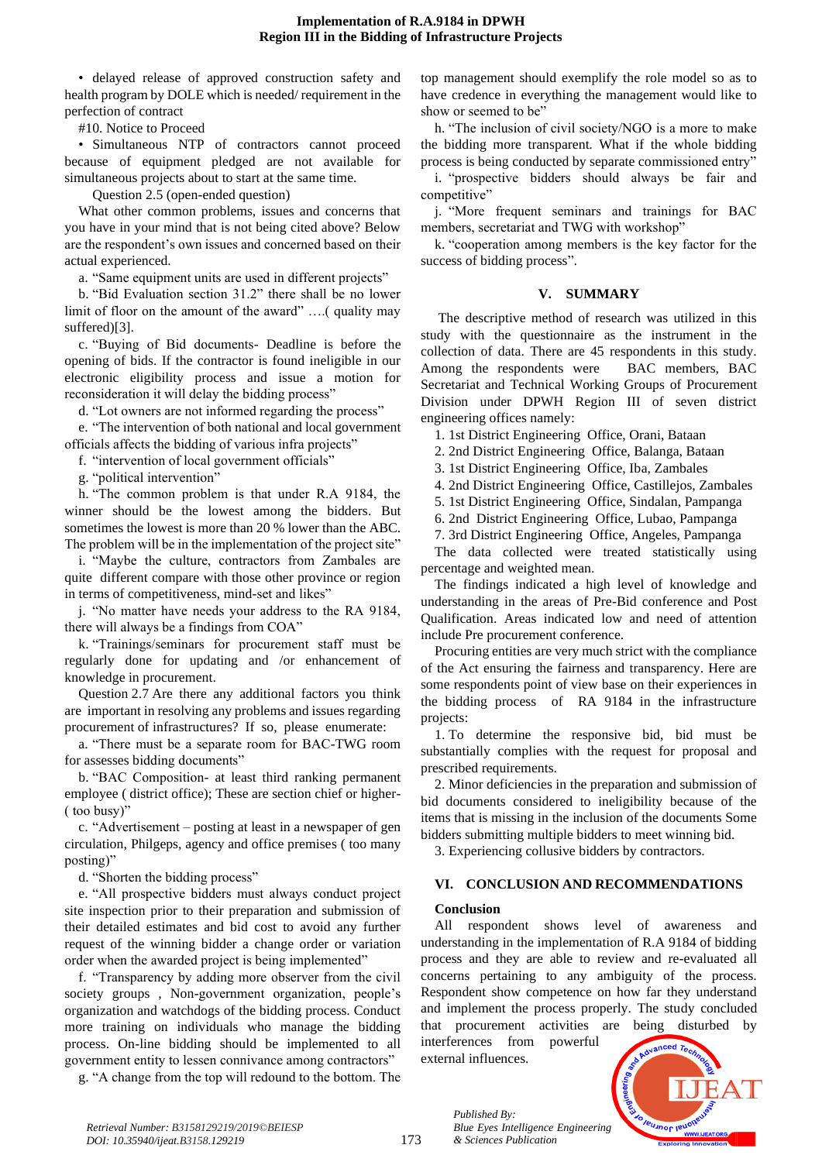• delayed release of approved construction safety and health program by DOLE which is needed/ requirement in the perfection of contract

#10. Notice to Proceed

• Simultaneous NTP of contractors cannot proceed because of equipment pledged are not available for simultaneous projects about to start at the same time.

Question 2.5 (open-ended question)

What other common problems, issues and concerns that you have in your mind that is not being cited above? Below are the respondent's own issues and concerned based on their actual experienced.

a. "Same equipment units are used in different projects"

b. "Bid Evaluation section 31.2" there shall be no lower limit of floor on the amount of the award" ….( quality may suffered)[3].

c. "Buying of Bid documents- Deadline is before the opening of bids. If the contractor is found ineligible in our electronic eligibility process and issue a motion for reconsideration it will delay the bidding process"

d. "Lot owners are not informed regarding the process"

e. "The intervention of both national and local government officials affects the bidding of various infra projects"

f. "intervention of local government officials"

g. "political intervention"

h. "The common problem is that under R.A 9184, the winner should be the lowest among the bidders. But sometimes the lowest is more than 20 % lower than the ABC. The problem will be in the implementation of the project site"

i. "Maybe the culture, contractors from Zambales are quite different compare with those other province or region in terms of competitiveness, mind-set and likes"

j. "No matter have needs your address to the RA 9184, there will always be a findings from COA"

k. "Trainings/seminars for procurement staff must be regularly done for updating and /or enhancement of knowledge in procurement.

Question 2.7 Are there any additional factors you think are important in resolving any problems and issues regarding procurement of infrastructures? If so, please enumerate:

a. "There must be a separate room for BAC-TWG room for assesses bidding documents"

b. "BAC Composition- at least third ranking permanent employee ( district office); These are section chief or higher- ( too busy)"

c. "Advertisement – posting at least in a newspaper of gen circulation, Philgeps, agency and office premises ( too many posting)"

d. "Shorten the bidding process"

e. "All prospective bidders must always conduct project site inspection prior to their preparation and submission of their detailed estimates and bid cost to avoid any further request of the winning bidder a change order or variation order when the awarded project is being implemented"

f. "Transparency by adding more observer from the civil society groups , Non-government organization, people's organization and watchdogs of the bidding process. Conduct more training on individuals who manage the bidding process. On-line bidding should be implemented to all government entity to lessen connivance among contractors"

g. "A change from the top will redound to the bottom. The

top management should exemplify the role model so as to have credence in everything the management would like to show or seemed to be"

h. "The inclusion of civil society/NGO is a more to make the bidding more transparent. What if the whole bidding process is being conducted by separate commissioned entry"

i. "prospective bidders should always be fair and competitive"

j. "More frequent seminars and trainings for BAC members, secretariat and TWG with workshop"

k. "cooperation among members is the key factor for the success of bidding process".

# **V. SUMMARY**

The descriptive method of research was utilized in this study with the questionnaire as the instrument in the collection of data. There are 45 respondents in this study. Among the respondents were BAC members, BAC Secretariat and Technical Working Groups of Procurement Division under DPWH Region III of seven district engineering offices namely:

1. 1st District Engineering Office, Orani, Bataan

2. 2nd District Engineering Office, Balanga, Bataan

3. 1st District Engineering Office, Iba, Zambales

4. 2nd District Engineering Office, Castillejos, Zambales

5. 1st District Engineering Office, Sindalan, Pampanga

6. 2nd District Engineering Office, Lubao, Pampanga

7. 3rd District Engineering Office, Angeles, Pampanga

The data collected were treated statistically using percentage and weighted mean.

The findings indicated a high level of knowledge and understanding in the areas of Pre-Bid conference and Post Qualification. Areas indicated low and need of attention include Pre procurement conference.

Procuring entities are very much strict with the compliance of the Act ensuring the fairness and transparency. Here are some respondents point of view base on their experiences in the bidding process of RA 9184 in the infrastructure projects:

1. To determine the responsive bid, bid must be substantially complies with the request for proposal and prescribed requirements.

2. Minor deficiencies in the preparation and submission of bid documents considered to ineligibility because of the items that is missing in the inclusion of the documents Some bidders submitting multiple bidders to meet winning bid.

3. Experiencing collusive bidders by contractors.

# **VI. CONCLUSION AND RECOMMENDATIONS**

# **Conclusion**

All respondent shows level of awareness and understanding in the implementation of R.A 9184 of bidding process and they are able to review and re-evaluated all concerns pertaining to any ambiguity of the process. Respondent show competence on how far they understand and implement the process properly. The study concluded that procurement activities are being disturbed by interferences from powerful

external influences.

*Blue Eyes Intelligence Engineering* 

*Published By:*

*& Sciences Publication* 



173